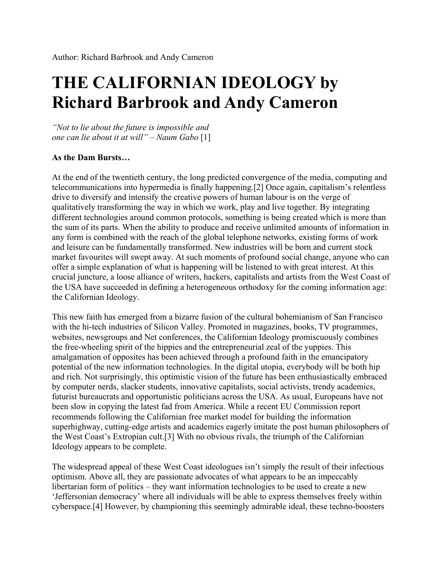# **THE CALIFORNIAN IDEOLOGY by Richard Barbrook and Andy Cameron**

*"Not to lie about the future is impossible and one can lie about it at will" – Naum Gabo* [1]

# **As the Dam Bursts…**

At the end of the twentieth century, the long predicted convergence of the media, computing and telecommunications into hypermedia is finally happening.[2] Once again, capitalism's relentless drive to diversify and intensify the creative powers of human labour is on the verge of qualitatively transforming the way in which we work, play and live together. By integrating different technologies around common protocols, something is being created which is more than the sum of its parts. When the ability to produce and receive unlimited amounts of information in any form is combined with the reach of the global telephone networks, existing forms of work and leisure can be fundamentally transformed. New industries will be born and current stock market favourites will swept away. At such moments of profound social change, anyone who can offer a simple explanation of what is happening will be listened to with great interest. At this crucial juncture, a loose alliance of writers, hackers, capitalists and artists from the West Coast of the USA have succeeded in defining a heterogeneous orthodoxy for the coming information age: the Californian Ideology.

This new faith has emerged from a bizarre fusion of the cultural bohemianism of San Francisco with the hi-tech industries of Silicon Valley. Promoted in magazines, books, TV programmes, websites, newsgroups and Net conferences, the Californian Ideology promiscuously combines the free-wheeling spirit of the hippies and the entrepreneurial zeal of the yuppies. This amalgamation of opposites has been achieved through a profound faith in the emancipatory potential of the new information technologies. In the digital utopia, everybody will be both hip and rich. Not surprisingly, this optimistic vision of the future has been enthusiastically embraced by computer nerds, slacker students, innovative capitalists, social activists, trendy academics, futurist bureaucrats and opportunistic politicians across the USA. As usual, Europeans have not been slow in copying the latest fad from America. While a recent EU Commission report recommends following the Californian free market model for building the information superhighway, cutting-edge artists and academics eagerly imitate the post human philosophers of the West Coast's Extropian cult.[3] With no obvious rivals, the triumph of the Californian Ideology appears to be complete.

The widespread appeal of these West Coast ideologues isn't simply the result of their infectious optimism. Above all, they are passionate advocates of what appears to be an impeccably libertarian form of politics – they want information technologies to be used to create a new 'Jeffersonian democracy' where all individuals will be able to express themselves freely within cyberspace.[4] However, by championing this seemingly admirable ideal, these techno-boosters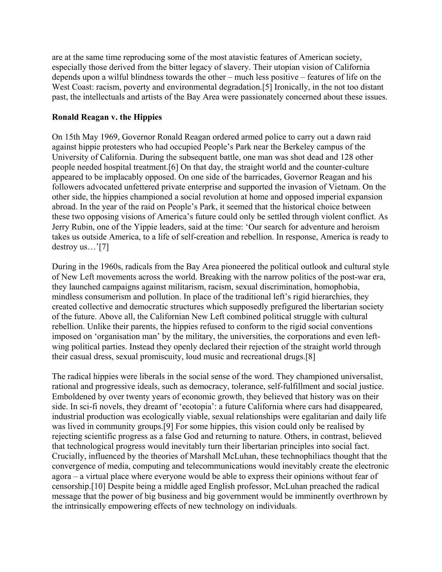are at the same time reproducing some of the most atavistic features of American society, especially those derived from the bitter legacy of slavery. Their utopian vision of California depends upon a wilful blindness towards the other – much less positive – features of life on the West Coast: racism, poverty and environmental degradation.[5] Ironically, in the not too distant past, the intellectuals and artists of the Bay Area were passionately concerned about these issues.

## **Ronald Reagan v. the Hippies**

On 15th May 1969, Governor Ronald Reagan ordered armed police to carry out a dawn raid against hippie protesters who had occupied People's Park near the Berkeley campus of the University of California. During the subsequent battle, one man was shot dead and 128 other people needed hospital treatment.[6] On that day, the straight world and the counter-culture appeared to be implacably opposed. On one side of the barricades, Governor Reagan and his followers advocated unfettered private enterprise and supported the invasion of Vietnam. On the other side, the hippies championed a social revolution at home and opposed imperial expansion abroad. In the year of the raid on People's Park, it seemed that the historical choice between these two opposing visions of America's future could only be settled through violent conflict. As Jerry Rubin, one of the Yippie leaders, said at the time: 'Our search for adventure and heroism takes us outside America, to a life of self-creation and rebellion. In response, America is ready to destroy us…'[7]

During in the 1960s, radicals from the Bay Area pioneered the political outlook and cultural style of New Left movements across the world. Breaking with the narrow politics of the post-war era, they launched campaigns against militarism, racism, sexual discrimination, homophobia, mindless consumerism and pollution. In place of the traditional left's rigid hierarchies, they created collective and democratic structures which supposedly prefigured the libertarian society of the future. Above all, the Californian New Left combined political struggle with cultural rebellion. Unlike their parents, the hippies refused to conform to the rigid social conventions imposed on 'organisation man' by the military, the universities, the corporations and even leftwing political parties. Instead they openly declared their rejection of the straight world through their casual dress, sexual promiscuity, loud music and recreational drugs.[8]

The radical hippies were liberals in the social sense of the word. They championed universalist, rational and progressive ideals, such as democracy, tolerance, self-fulfillment and social justice. Emboldened by over twenty years of economic growth, they believed that history was on their side. In sci-fi novels, they dreamt of 'ecotopia': a future California where cars had disappeared, industrial production was ecologically viable, sexual relationships were egalitarian and daily life was lived in community groups.[9] For some hippies, this vision could only be realised by rejecting scientific progress as a false God and returning to nature. Others, in contrast, believed that technological progress would inevitably turn their libertarian principles into social fact. Crucially, influenced by the theories of Marshall McLuhan, these technophiliacs thought that the convergence of media, computing and telecommunications would inevitably create the electronic agora – a virtual place where everyone would be able to express their opinions without fear of censorship.[10] Despite being a middle aged English professor, McLuhan preached the radical message that the power of big business and big government would be imminently overthrown by the intrinsically empowering effects of new technology on individuals.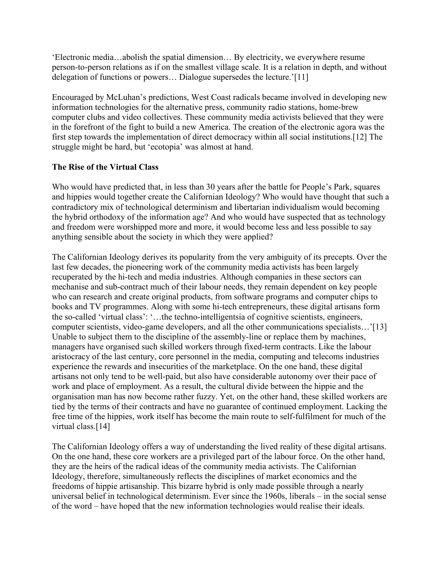'Electronic media…abolish the spatial dimension… By electricity, we everywhere resume person-to-person relations as if on the smallest village scale. It is a relation in depth, and without delegation of functions or powers… Dialogue supersedes the lecture.'[11]

Encouraged by McLuhan's predictions, West Coast radicals became involved in developing new information technologies for the alternative press, community radio stations, home-brew computer clubs and video collectives. These community media activists believed that they were in the forefront of the fight to build a new America. The creation of the electronic agora was the first step towards the implementation of direct democracy within all social institutions.[12] The struggle might be hard, but 'ecotopia' was almost at hand.

# **The Rise of the Virtual Class**

Who would have predicted that, in less than 30 years after the battle for People's Park, squares and hippies would together create the Californian Ideology? Who would have thought that such a contradictory mix of technological determinism and libertarian individualism would becoming the hybrid orthodoxy of the information age? And who would have suspected that as technology and freedom were worshipped more and more, it would become less and less possible to say anything sensible about the society in which they were applied?

The Californian Ideology derives its popularity from the very ambiguity of its precepts. Over the last few decades, the pioneering work of the community media activists has been largely recuperated by the hi-tech and media industries. Although companies in these sectors can mechanise and sub-contract much of their labour needs, they remain dependent on key people who can research and create original products, from software programs and computer chips to books and TV programmes. Along with some hi-tech entrepreneurs, these digital artisans form the so-called 'virtual class': '…the techno-intelligentsia of cognitive scientists, engineers, computer scientists, video-game developers, and all the other communications specialists...'[13] Unable to subject them to the discipline of the assembly-line or replace them by machines, managers have organised such skilled workers through fixed-term contracts. Like the labour aristocracy of the last century, core personnel in the media, computing and telecoms industries experience the rewards and insecurities of the marketplace. On the one hand, these digital artisans not only tend to be well-paid, but also have considerable autonomy over their pace of work and place of employment. As a result, the cultural divide between the hippie and the organisation man has now become rather fuzzy. Yet, on the other hand, these skilled workers are tied by the terms of their contracts and have no guarantee of continued employment. Lacking the free time of the hippies, work itself has become the main route to self-fulfilment for much of the virtual class.<sup>[14]</sup>

The Californian Ideology offers a way of understanding the lived reality of these digital artisans. On the one hand, these core workers are a privileged part of the labour force. On the other hand, they are the heirs of the radical ideas of the community media activists. The Californian Ideology, therefore, simultaneously reflects the disciplines of market economics and the freedoms of hippie artisanship. This bizarre hybrid is only made possible through a nearly universal belief in technological determinism. Ever since the 1960s, liberals – in the social sense of the word – have hoped that the new information technologies would realise their ideals.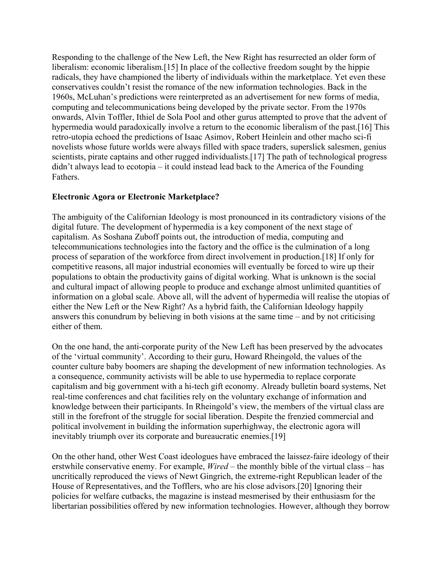Responding to the challenge of the New Left, the New Right has resurrected an older form of liberalism: economic liberalism.[15] In place of the collective freedom sought by the hippie radicals, they have championed the liberty of individuals within the marketplace. Yet even these conservatives couldn't resist the romance of the new information technologies. Back in the 1960s, McLuhan's predictions were reinterpreted as an advertisement for new forms of media, computing and telecommunications being developed by the private sector. From the 1970s onwards, Alvin Toffler, Ithiel de Sola Pool and other gurus attempted to prove that the advent of hypermedia would paradoxically involve a return to the economic liberalism of the past.[16] This retro-utopia echoed the predictions of Isaac Asimov, Robert Heinlein and other macho sci-fi novelists whose future worlds were always filled with space traders, superslick salesmen, genius scientists, pirate captains and other rugged individualists.[17] The path of technological progress didn't always lead to ecotopia – it could instead lead back to the America of the Founding Fathers.

# **Electronic Agora or Electronic Marketplace?**

The ambiguity of the Californian Ideology is most pronounced in its contradictory visions of the digital future. The development of hypermedia is a key component of the next stage of capitalism. As Soshana Zuboff points out, the introduction of media, computing and telecommunications technologies into the factory and the office is the culmination of a long process of separation of the workforce from direct involvement in production.[18] If only for competitive reasons, all major industrial economies will eventually be forced to wire up their populations to obtain the productivity gains of digital working. What is unknown is the social and cultural impact of allowing people to produce and exchange almost unlimited quantities of information on a global scale. Above all, will the advent of hypermedia will realise the utopias of either the New Left or the New Right? As a hybrid faith, the Californian Ideology happily answers this conundrum by believing in both visions at the same time – and by not criticising either of them.

On the one hand, the anti-corporate purity of the New Left has been preserved by the advocates of the 'virtual community'. According to their guru, Howard Rheingold, the values of the counter culture baby boomers are shaping the development of new information technologies. As a consequence, community activists will be able to use hypermedia to replace corporate capitalism and big government with a hi-tech gift economy. Already bulletin board systems, Net real-time conferences and chat facilities rely on the voluntary exchange of information and knowledge between their participants. In Rheingold's view, the members of the virtual class are still in the forefront of the struggle for social liberation. Despite the frenzied commercial and political involvement in building the information superhighway, the electronic agora will inevitably triumph over its corporate and bureaucratic enemies.[19]

On the other hand, other West Coast ideologues have embraced the laissez-faire ideology of their erstwhile conservative enemy. For example, *Wired* – the monthly bible of the virtual class – has uncritically reproduced the views of Newt Gingrich, the extreme-right Republican leader of the House of Representatives, and the Tofflers, who are his close advisors.[20] Ignoring their policies for welfare cutbacks, the magazine is instead mesmerised by their enthusiasm for the libertarian possibilities offered by new information technologies. However, although they borrow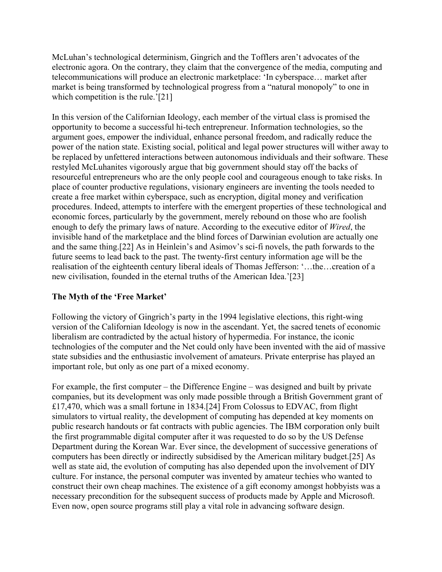McLuhan's technological determinism, Gingrich and the Tofflers aren't advocates of the electronic agora. On the contrary, they claim that the convergence of the media, computing and telecommunications will produce an electronic marketplace: 'In cyberspace… market after market is being transformed by technological progress from a "natural monopoly" to one in which competition is the rule.'[21]

In this version of the Californian Ideology, each member of the virtual class is promised the opportunity to become a successful hi-tech entrepreneur. Information technologies, so the argument goes, empower the individual, enhance personal freedom, and radically reduce the power of the nation state. Existing social, political and legal power structures will wither away to be replaced by unfettered interactions between autonomous individuals and their software. These restyled McLuhanites vigorously argue that big government should stay off the backs of resourceful entrepreneurs who are the only people cool and courageous enough to take risks. In place of counter productive regulations, visionary engineers are inventing the tools needed to create a free market within cyberspace, such as encryption, digital money and verification procedures. Indeed, attempts to interfere with the emergent properties of these technological and economic forces, particularly by the government, merely rebound on those who are foolish enough to defy the primary laws of nature. According to the executive editor of *Wired*, the invisible hand of the marketplace and the blind forces of Darwinian evolution are actually one and the same thing.[22] As in Heinlein's and Asimov's sci-fi novels, the path forwards to the future seems to lead back to the past. The twenty-first century information age will be the realisation of the eighteenth century liberal ideals of Thomas Jefferson: '…the…creation of a new civilisation, founded in the eternal truths of the American Idea.'[23]

## **The Myth of the 'Free Market'**

Following the victory of Gingrich's party in the 1994 legislative elections, this right-wing version of the Californian Ideology is now in the ascendant. Yet, the sacred tenets of economic liberalism are contradicted by the actual history of hypermedia. For instance, the iconic technologies of the computer and the Net could only have been invented with the aid of massive state subsidies and the enthusiastic involvement of amateurs. Private enterprise has played an important role, but only as one part of a mixed economy.

For example, the first computer – the Difference Engine – was designed and built by private companies, but its development was only made possible through a British Government grant of £17,470, which was a small fortune in 1834.[24] From Colossus to EDVAC, from flight simulators to virtual reality, the development of computing has depended at key moments on public research handouts or fat contracts with public agencies. The IBM corporation only built the first programmable digital computer after it was requested to do so by the US Defense Department during the Korean War. Ever since, the development of successive generations of computers has been directly or indirectly subsidised by the American military budget.[25] As well as state aid, the evolution of computing has also depended upon the involvement of DIY culture. For instance, the personal computer was invented by amateur techies who wanted to construct their own cheap machines. The existence of a gift economy amongst hobbyists was a necessary precondition for the subsequent success of products made by Apple and Microsoft. Even now, open source programs still play a vital role in advancing software design.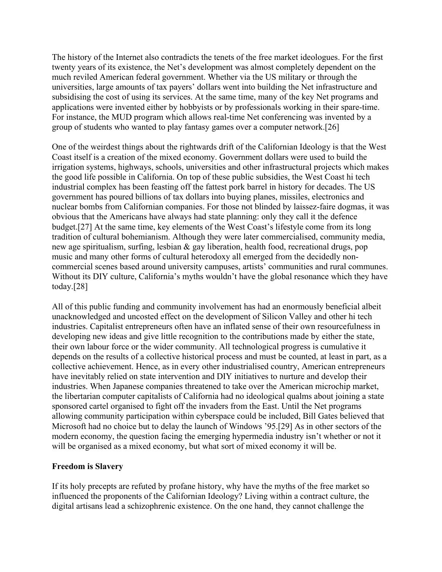The history of the Internet also contradicts the tenets of the free market ideologues. For the first twenty years of its existence, the Net's development was almost completely dependent on the much reviled American federal government. Whether via the US military or through the universities, large amounts of tax payers' dollars went into building the Net infrastructure and subsidising the cost of using its services. At the same time, many of the key Net programs and applications were invented either by hobbyists or by professionals working in their spare-time. For instance, the MUD program which allows real-time Net conferencing was invented by a group of students who wanted to play fantasy games over a computer network.[26]

One of the weirdest things about the rightwards drift of the Californian Ideology is that the West Coast itself is a creation of the mixed economy. Government dollars were used to build the irrigation systems, highways, schools, universities and other infrastructural projects which makes the good life possible in California. On top of these public subsidies, the West Coast hi tech industrial complex has been feasting off the fattest pork barrel in history for decades. The US government has poured billions of tax dollars into buying planes, missiles, electronics and nuclear bombs from Californian companies. For those not blinded by laissez-faire dogmas, it was obvious that the Americans have always had state planning: only they call it the defence budget.[27] At the same time, key elements of the West Coast's lifestyle come from its long tradition of cultural bohemianism. Although they were later commercialised, community media, new age spiritualism, surfing, lesbian & gay liberation, health food, recreational drugs, pop music and many other forms of cultural heterodoxy all emerged from the decidedly noncommercial scenes based around university campuses, artists' communities and rural communes. Without its DIY culture, California's myths wouldn't have the global resonance which they have today.[28]

All of this public funding and community involvement has had an enormously beneficial albeit unacknowledged and uncosted effect on the development of Silicon Valley and other hi tech industries. Capitalist entrepreneurs often have an inflated sense of their own resourcefulness in developing new ideas and give little recognition to the contributions made by either the state, their own labour force or the wider community. All technological progress is cumulative it depends on the results of a collective historical process and must be counted, at least in part, as a collective achievement. Hence, as in every other industrialised country, American entrepreneurs have inevitably relied on state intervention and DIY initiatives to nurture and develop their industries. When Japanese companies threatened to take over the American microchip market, the libertarian computer capitalists of California had no ideological qualms about joining a state sponsored cartel organised to fight off the invaders from the East. Until the Net programs allowing community participation within cyberspace could be included, Bill Gates believed that Microsoft had no choice but to delay the launch of Windows '95.[29] As in other sectors of the modern economy, the question facing the emerging hypermedia industry isn't whether or not it will be organised as a mixed economy, but what sort of mixed economy it will be.

# **Freedom is Slavery**

If its holy precepts are refuted by profane history, why have the myths of the free market so influenced the proponents of the Californian Ideology? Living within a contract culture, the digital artisans lead a schizophrenic existence. On the one hand, they cannot challenge the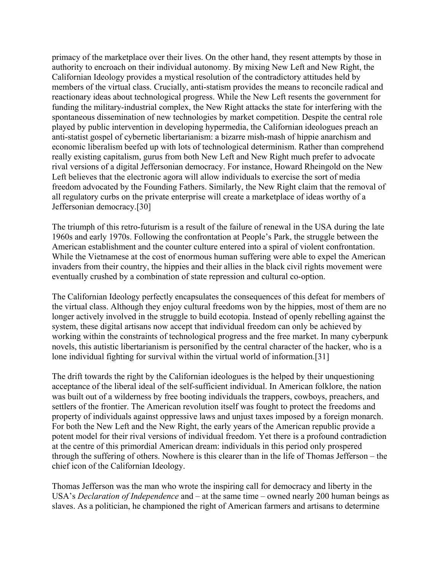primacy of the marketplace over their lives. On the other hand, they resent attempts by those in authority to encroach on their individual autonomy. By mixing New Left and New Right, the Californian Ideology provides a mystical resolution of the contradictory attitudes held by members of the virtual class. Crucially, anti-statism provides the means to reconcile radical and reactionary ideas about technological progress. While the New Left resents the government for funding the military-industrial complex, the New Right attacks the state for interfering with the spontaneous dissemination of new technologies by market competition. Despite the central role played by public intervention in developing hypermedia, the Californian ideologues preach an anti-statist gospel of cybernetic libertarianism: a bizarre mish-mash of hippie anarchism and economic liberalism beefed up with lots of technological determinism. Rather than comprehend really existing capitalism, gurus from both New Left and New Right much prefer to advocate rival versions of a digital Jeffersonian democracy. For instance, Howard Rheingold on the New Left believes that the electronic agora will allow individuals to exercise the sort of media freedom advocated by the Founding Fathers. Similarly, the New Right claim that the removal of all regulatory curbs on the private enterprise will create a marketplace of ideas worthy of a Jeffersonian democracy.[30]

The triumph of this retro-futurism is a result of the failure of renewal in the USA during the late 1960s and early 1970s. Following the confrontation at People's Park, the struggle between the American establishment and the counter culture entered into a spiral of violent confrontation. While the Vietnamese at the cost of enormous human suffering were able to expel the American invaders from their country, the hippies and their allies in the black civil rights movement were eventually crushed by a combination of state repression and cultural co-option.

The Californian Ideology perfectly encapsulates the consequences of this defeat for members of the virtual class. Although they enjoy cultural freedoms won by the hippies, most of them are no longer actively involved in the struggle to build ecotopia. Instead of openly rebelling against the system, these digital artisans now accept that individual freedom can only be achieved by working within the constraints of technological progress and the free market. In many cyberpunk novels, this autistic libertarianism is personified by the central character of the hacker, who is a lone individual fighting for survival within the virtual world of information.[31]

The drift towards the right by the Californian ideologues is the helped by their unquestioning acceptance of the liberal ideal of the self-sufficient individual. In American folklore, the nation was built out of a wilderness by free booting individuals the trappers, cowboys, preachers, and settlers of the frontier. The American revolution itself was fought to protect the freedoms and property of individuals against oppressive laws and unjust taxes imposed by a foreign monarch. For both the New Left and the New Right, the early years of the American republic provide a potent model for their rival versions of individual freedom. Yet there is a profound contradiction at the centre of this primordial American dream: individuals in this period only prospered through the suffering of others. Nowhere is this clearer than in the life of Thomas Jefferson – the chief icon of the Californian Ideology.

Thomas Jefferson was the man who wrote the inspiring call for democracy and liberty in the USA's *Declaration of Independence* and – at the same time – owned nearly 200 human beings as slaves. As a politician, he championed the right of American farmers and artisans to determine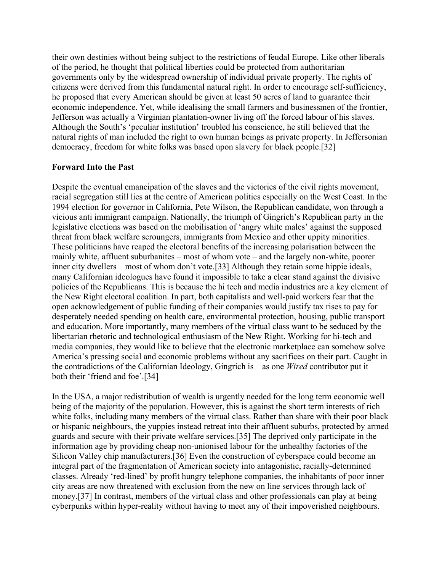their own destinies without being subject to the restrictions of feudal Europe. Like other liberals of the period, he thought that political liberties could be protected from authoritarian governments only by the widespread ownership of individual private property. The rights of citizens were derived from this fundamental natural right. In order to encourage self-sufficiency, he proposed that every American should be given at least 50 acres of land to guarantee their economic independence. Yet, while idealising the small farmers and businessmen of the frontier, Jefferson was actually a Virginian plantation-owner living off the forced labour of his slaves. Although the South's 'peculiar institution' troubled his conscience, he still believed that the natural rights of man included the right to own human beings as private property. In Jeffersonian democracy, freedom for white folks was based upon slavery for black people.[32]

## **Forward Into the Past**

Despite the eventual emancipation of the slaves and the victories of the civil rights movement, racial segregation still lies at the centre of American politics especially on the West Coast. In the 1994 election for governor in California, Pete Wilson, the Republican candidate, won through a vicious anti immigrant campaign. Nationally, the triumph of Gingrich's Republican party in the legislative elections was based on the mobilisation of 'angry white males' against the supposed threat from black welfare scroungers, immigrants from Mexico and other uppity minorities. These politicians have reaped the electoral benefits of the increasing polarisation between the mainly white, affluent suburbanites – most of whom vote – and the largely non-white, poorer inner city dwellers – most of whom don't vote.[33] Although they retain some hippie ideals, many Californian ideologues have found it impossible to take a clear stand against the divisive policies of the Republicans. This is because the hi tech and media industries are a key element of the New Right electoral coalition. In part, both capitalists and well-paid workers fear that the open acknowledgement of public funding of their companies would justify tax rises to pay for desperately needed spending on health care, environmental protection, housing, public transport and education. More importantly, many members of the virtual class want to be seduced by the libertarian rhetoric and technological enthusiasm of the New Right. Working for hi-tech and media companies, they would like to believe that the electronic marketplace can somehow solve America's pressing social and economic problems without any sacrifices on their part. Caught in the contradictions of the Californian Ideology, Gingrich is – as one *Wired* contributor put it – both their 'friend and foe'.[34]

In the USA, a major redistribution of wealth is urgently needed for the long term economic well being of the majority of the population. However, this is against the short term interests of rich white folks, including many members of the virtual class. Rather than share with their poor black or hispanic neighbours, the yuppies instead retreat into their affluent suburbs, protected by armed guards and secure with their private welfare services.[35] The deprived only participate in the information age by providing cheap non-unionised labour for the unhealthy factories of the Silicon Valley chip manufacturers.[36] Even the construction of cyberspace could become an integral part of the fragmentation of American society into antagonistic, racially-determined classes. Already 'red-lined' by profit hungry telephone companies, the inhabitants of poor inner city areas are now threatened with exclusion from the new on line services through lack of money.[37] In contrast, members of the virtual class and other professionals can play at being cyberpunks within hyper-reality without having to meet any of their impoverished neighbours.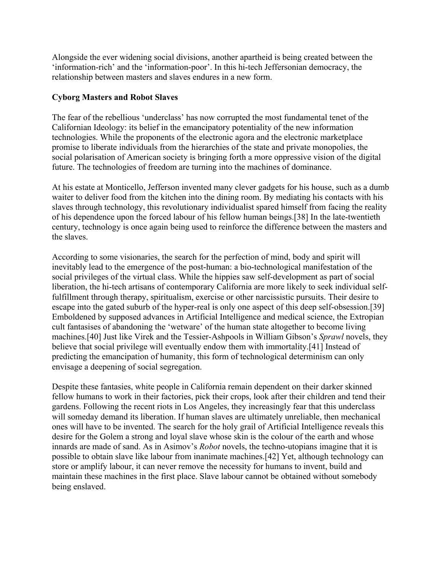Alongside the ever widening social divisions, another apartheid is being created between the 'information-rich' and the 'information-poor'. In this hi-tech Jeffersonian democracy, the relationship between masters and slaves endures in a new form.

## **Cyborg Masters and Robot Slaves**

The fear of the rebellious 'underclass' has now corrupted the most fundamental tenet of the Californian Ideology: its belief in the emancipatory potentiality of the new information technologies. While the proponents of the electronic agora and the electronic marketplace promise to liberate individuals from the hierarchies of the state and private monopolies, the social polarisation of American society is bringing forth a more oppressive vision of the digital future. The technologies of freedom are turning into the machines of dominance.

At his estate at Monticello, Jefferson invented many clever gadgets for his house, such as a dumb waiter to deliver food from the kitchen into the dining room. By mediating his contacts with his slaves through technology, this revolutionary individualist spared himself from facing the reality of his dependence upon the forced labour of his fellow human beings.[38] In the late-twentieth century, technology is once again being used to reinforce the difference between the masters and the slaves.

According to some visionaries, the search for the perfection of mind, body and spirit will inevitably lead to the emergence of the post-human: a bio-technological manifestation of the social privileges of the virtual class. While the hippies saw self-development as part of social liberation, the hi-tech artisans of contemporary California are more likely to seek individual selffulfillment through therapy, spiritualism, exercise or other narcissistic pursuits. Their desire to escape into the gated suburb of the hyper-real is only one aspect of this deep self-obsession.[39] Emboldened by supposed advances in Artificial Intelligence and medical science, the Extropian cult fantasises of abandoning the 'wetware' of the human state altogether to become living machines.[40] Just like Virek and the Tessier-Ashpools in William Gibson's *Sprawl* novels, they believe that social privilege will eventually endow them with immortality.[41] Instead of predicting the emancipation of humanity, this form of technological determinism can only envisage a deepening of social segregation.

Despite these fantasies, white people in California remain dependent on their darker skinned fellow humans to work in their factories, pick their crops, look after their children and tend their gardens. Following the recent riots in Los Angeles, they increasingly fear that this underclass will someday demand its liberation. If human slaves are ultimately unreliable, then mechanical ones will have to be invented. The search for the holy grail of Artificial Intelligence reveals this desire for the Golem a strong and loyal slave whose skin is the colour of the earth and whose innards are made of sand. As in Asimov's *Robot* novels, the techno-utopians imagine that it is possible to obtain slave like labour from inanimate machines.[42] Yet, although technology can store or amplify labour, it can never remove the necessity for humans to invent, build and maintain these machines in the first place. Slave labour cannot be obtained without somebody being enslaved.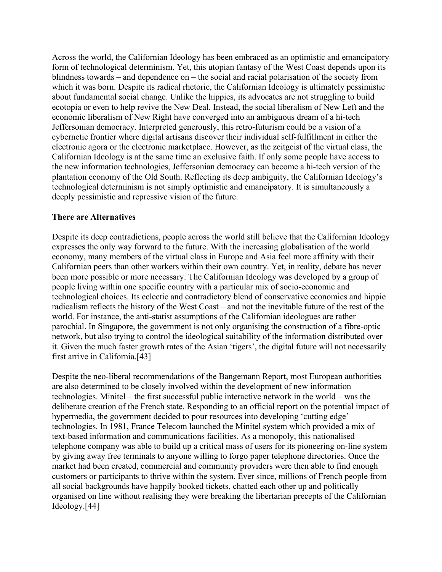Across the world, the Californian Ideology has been embraced as an optimistic and emancipatory form of technological determinism. Yet, this utopian fantasy of the West Coast depends upon its blindness towards – and dependence on – the social and racial polarisation of the society from which it was born. Despite its radical rhetoric, the Californian Ideology is ultimately pessimistic about fundamental social change. Unlike the hippies, its advocates are not struggling to build ecotopia or even to help revive the New Deal. Instead, the social liberalism of New Left and the economic liberalism of New Right have converged into an ambiguous dream of a hi-tech Jeffersonian democracy. Interpreted generously, this retro-futurism could be a vision of a cybernetic frontier where digital artisans discover their individual self-fulfillment in either the electronic agora or the electronic marketplace. However, as the zeitgeist of the virtual class, the Californian Ideology is at the same time an exclusive faith. If only some people have access to the new information technologies, Jeffersonian democracy can become a hi-tech version of the plantation economy of the Old South. Reflecting its deep ambiguity, the Californian Ideology's technological determinism is not simply optimistic and emancipatory. It is simultaneously a deeply pessimistic and repressive vision of the future.

## **There are Alternatives**

Despite its deep contradictions, people across the world still believe that the Californian Ideology expresses the only way forward to the future. With the increasing globalisation of the world economy, many members of the virtual class in Europe and Asia feel more affinity with their Californian peers than other workers within their own country. Yet, in reality, debate has never been more possible or more necessary. The Californian Ideology was developed by a group of people living within one specific country with a particular mix of socio-economic and technological choices. Its eclectic and contradictory blend of conservative economics and hippie radicalism reflects the history of the West Coast – and not the inevitable future of the rest of the world. For instance, the anti-statist assumptions of the Californian ideologues are rather parochial. In Singapore, the government is not only organising the construction of a fibre-optic network, but also trying to control the ideological suitability of the information distributed over it. Given the much faster growth rates of the Asian 'tigers', the digital future will not necessarily first arrive in California.[43]

Despite the neo-liberal recommendations of the Bangemann Report, most European authorities are also determined to be closely involved within the development of new information technologies. Minitel – the first successful public interactive network in the world – was the deliberate creation of the French state. Responding to an official report on the potential impact of hypermedia, the government decided to pour resources into developing 'cutting edge' technologies. In 1981, France Telecom launched the Minitel system which provided a mix of text-based information and communications facilities. As a monopoly, this nationalised telephone company was able to build up a critical mass of users for its pioneering on-line system by giving away free terminals to anyone willing to forgo paper telephone directories. Once the market had been created, commercial and community providers were then able to find enough customers or participants to thrive within the system. Ever since, millions of French people from all social backgrounds have happily booked tickets, chatted each other up and politically organised on line without realising they were breaking the libertarian precepts of the Californian Ideology.[44]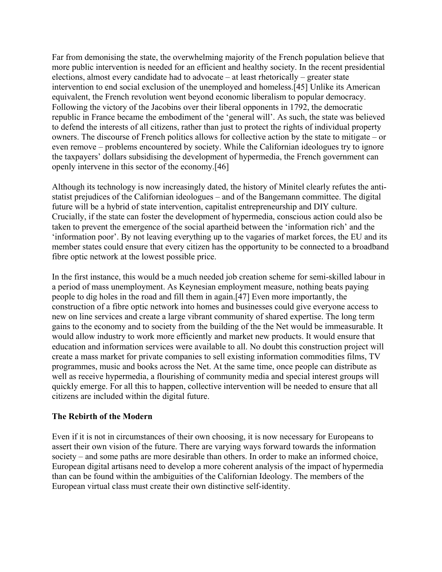Far from demonising the state, the overwhelming majority of the French population believe that more public intervention is needed for an efficient and healthy society. In the recent presidential elections, almost every candidate had to advocate – at least rhetorically – greater state intervention to end social exclusion of the unemployed and homeless.[45] Unlike its American equivalent, the French revolution went beyond economic liberalism to popular democracy. Following the victory of the Jacobins over their liberal opponents in 1792, the democratic republic in France became the embodiment of the 'general will'. As such, the state was believed to defend the interests of all citizens, rather than just to protect the rights of individual property owners. The discourse of French politics allows for collective action by the state to mitigate – or even remove – problems encountered by society. While the Californian ideologues try to ignore the taxpayers' dollars subsidising the development of hypermedia, the French government can openly intervene in this sector of the economy.[46]

Although its technology is now increasingly dated, the history of Minitel clearly refutes the antistatist prejudices of the Californian ideologues – and of the Bangemann committee. The digital future will be a hybrid of state intervention, capitalist entrepreneurship and DIY culture. Crucially, if the state can foster the development of hypermedia, conscious action could also be taken to prevent the emergence of the social apartheid between the 'information rich' and the 'information poor'. By not leaving everything up to the vagaries of market forces, the EU and its member states could ensure that every citizen has the opportunity to be connected to a broadband fibre optic network at the lowest possible price.

In the first instance, this would be a much needed job creation scheme for semi-skilled labour in a period of mass unemployment. As Keynesian employment measure, nothing beats paying people to dig holes in the road and fill them in again.[47] Even more importantly, the construction of a fibre optic network into homes and businesses could give everyone access to new on line services and create a large vibrant community of shared expertise. The long term gains to the economy and to society from the building of the the Net would be immeasurable. It would allow industry to work more efficiently and market new products. It would ensure that education and information services were available to all. No doubt this construction project will create a mass market for private companies to sell existing information commodities films, TV programmes, music and books across the Net. At the same time, once people can distribute as well as receive hypermedia, a flourishing of community media and special interest groups will quickly emerge. For all this to happen, collective intervention will be needed to ensure that all citizens are included within the digital future.

# **The Rebirth of the Modern**

Even if it is not in circumstances of their own choosing, it is now necessary for Europeans to assert their own vision of the future. There are varying ways forward towards the information society – and some paths are more desirable than others. In order to make an informed choice, European digital artisans need to develop a more coherent analysis of the impact of hypermedia than can be found within the ambiguities of the Californian Ideology. The members of the European virtual class must create their own distinctive self-identity.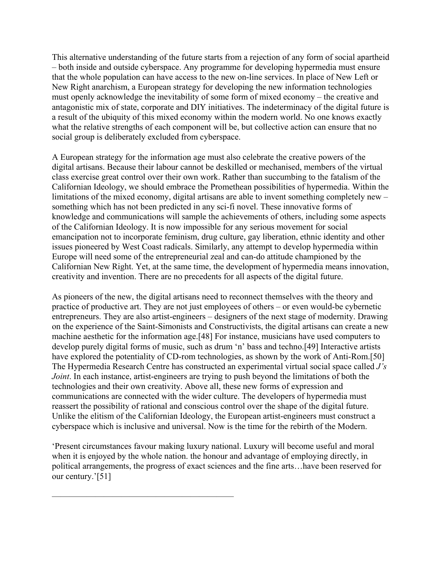This alternative understanding of the future starts from a rejection of any form of social apartheid – both inside and outside cyberspace. Any programme for developing hypermedia must ensure that the whole population can have access to the new on-line services. In place of New Left or New Right anarchism, a European strategy for developing the new information technologies must openly acknowledge the inevitability of some form of mixed economy – the creative and antagonistic mix of state, corporate and DIY initiatives. The indeterminacy of the digital future is a result of the ubiquity of this mixed economy within the modern world. No one knows exactly what the relative strengths of each component will be, but collective action can ensure that no social group is deliberately excluded from cyberspace.

A European strategy for the information age must also celebrate the creative powers of the digital artisans. Because their labour cannot be deskilled or mechanised, members of the virtual class exercise great control over their own work. Rather than succumbing to the fatalism of the Californian Ideology, we should embrace the Promethean possibilities of hypermedia. Within the limitations of the mixed economy, digital artisans are able to invent something completely new – something which has not been predicted in any sci-fi novel. These innovative forms of knowledge and communications will sample the achievements of others, including some aspects of the Californian Ideology. It is now impossible for any serious movement for social emancipation not to incorporate feminism, drug culture, gay liberation, ethnic identity and other issues pioneered by West Coast radicals. Similarly, any attempt to develop hypermedia within Europe will need some of the entrepreneurial zeal and can-do attitude championed by the Californian New Right. Yet, at the same time, the development of hypermedia means innovation, creativity and invention. There are no precedents for all aspects of the digital future.

As pioneers of the new, the digital artisans need to reconnect themselves with the theory and practice of productive art. They are not just employees of others – or even would-be cybernetic entrepreneurs. They are also artist-engineers – designers of the next stage of modernity. Drawing on the experience of the Saint-Simonists and Constructivists, the digital artisans can create a new machine aesthetic for the information age.[48] For instance, musicians have used computers to develop purely digital forms of music, such as drum 'n' bass and techno.[49] Interactive artists have explored the potentiality of CD-rom technologies, as shown by the work of Anti-Rom.[50] The Hypermedia Research Centre has constructed an experimental virtual social space called *J's Joint*. In each instance, artist-engineers are trying to push beyond the limitations of both the technologies and their own creativity. Above all, these new forms of expression and communications are connected with the wider culture. The developers of hypermedia must reassert the possibility of rational and conscious control over the shape of the digital future. Unlike the elitism of the Californian Ideology, the European artist-engineers must construct a cyberspace which is inclusive and universal. Now is the time for the rebirth of the Modern.

'Present circumstances favour making luxury national. Luxury will become useful and moral when it is enjoyed by the whole nation. the honour and advantage of employing directly, in political arrangements, the progress of exact sciences and the fine arts…have been reserved for our century.'[51]

—————————————————————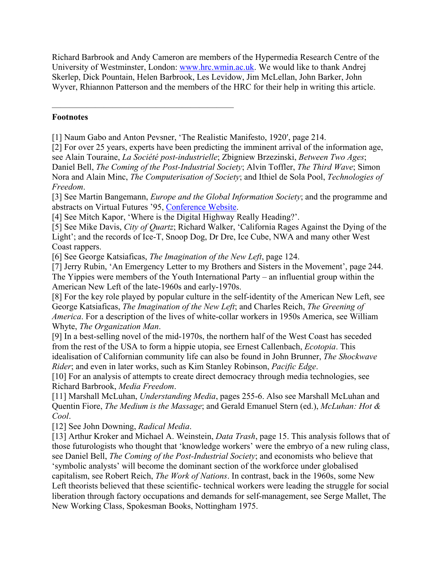Richard Barbrook and Andy Cameron are members of the Hypermedia Research Centre of the University of Westminster, London: [www.hrc.wmin.ac.uk.](http://www.hrc.wmin.ac.uk/) We would like to thank Andrej Skerlep, Dick Pountain, Helen Barbrook, Les Levidow, Jim McLellan, John Barker, John Wyver, Rhiannon Patterson and the members of the HRC for their help in writing this article.

## **Footnotes**

[1] Naum Gabo and Anton Pevsner, 'The Realistic Manifesto, 1920′, page 214.

—————————————————————

[2] For over 25 years, experts have been predicting the imminent arrival of the information age, see Alain Touraine, *La Société post-industrielle*; Zbigniew Brzezinski, *Between Two Ages*; Daniel Bell, *The Coming of the Post-Industrial Society*; Alvin Toffler, *The Third Wave*; Simon Nora and Alain Minc, *The Computerisation of Society*; and Ithiel de Sola Pool, *Technologies of Freedom*.

[3] See Martin Bangemann, *Europe and the Global Information Society*; and the programme and abstracts on Virtual Futures '95, [Conference Website.](http://www.imaginaryfutures.net/2007/04/17/the-californian-ideology-2/www.uni-koeln.de/phil-fak/englisch/abteilungen/berressem/ohara/hyperprogramme.html)

[4] See Mitch Kapor, 'Where is the Digital Highway Really Heading?'.

[5] See Mike Davis, *City of Quartz*; Richard Walker, 'California Rages Against the Dying of the Light'; and the records of Ice-T, Snoop Dog, Dr Dre, Ice Cube, NWA and many other West Coast rappers.

[6] See George Katsiaficas, *The Imagination of the New Left*, page 124.

[7] Jerry Rubin, 'An Emergency Letter to my Brothers and Sisters in the Movement', page 244. The Yippies were members of the Youth International Party – an influential group within the American New Left of the late-1960s and early-1970s.

[8] For the key role played by popular culture in the self-identity of the American New Left, see George Katsiaficas, *The Imagination of the New Left*; and Charles Reich, *The Greening of America*. For a description of the lives of white-collar workers in 1950s America, see William Whyte, *The Organization Man*.

[9] In a best-selling novel of the mid-1970s, the northern half of the West Coast has seceded from the rest of the USA to form a hippie utopia, see Ernest Callenbach, *Ecotopia*. This idealisation of Californian community life can also be found in John Brunner, *The Shockwave Rider*; and even in later works, such as Kim Stanley Robinson, *Pacific Edge*.

[10] For an analysis of attempts to create direct democracy through media technologies, see Richard Barbrook, *Media Freedom*.

[11] Marshall McLuhan, *Understanding Media*, pages 255-6. Also see Marshall McLuhan and Quentin Fiore, *The Medium is the Massage*; and Gerald Emanuel Stern (ed.), *McLuhan: Hot & Cool*.

[12] See John Downing, *Radical Media*.

[13] Arthur Kroker and Michael A. Weinstein, *Data Trash*, page 15. This analysis follows that of those futurologists who thought that 'knowledge workers' were the embryo of a new ruling class, see Daniel Bell, *The Coming of the Post-Industrial Society*; and economists who believe that 'symbolic analysts' will become the dominant section of the workforce under globalised capitalism, see Robert Reich, *The Work of Nations*. In contrast, back in the 1960s, some New Left theorists believed that these scientific- technical workers were leading the struggle for social liberation through factory occupations and demands for self-management, see Serge Mallet, The New Working Class, Spokesman Books, Nottingham 1975.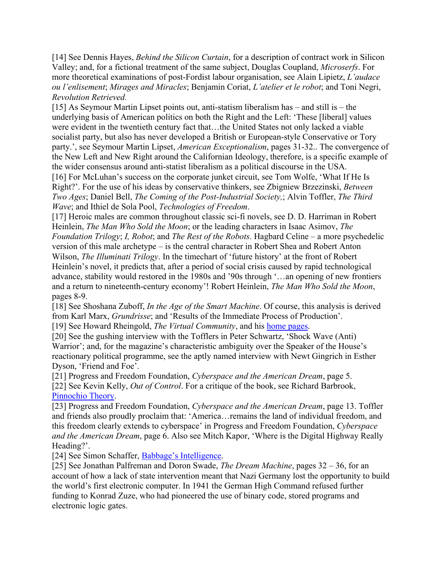[14] See Dennis Hayes, *Behind the Silicon Curtain*, for a description of contract work in Silicon Valley; and, for a fictional treatment of the same subject, Douglas Coupland, *Microserfs*. For more theoretical examinations of post-Fordist labour organisation, see Alain Lipietz, *L'audace ou l'enlisement*; *Mirages and Miracles*; Benjamin Coriat, *L'atelier et le robot*; and Toni Negri, *Revolution Retrieved.*

[15] As Seymour Martin Lipset points out, anti-statism liberalism has – and still is – the underlying basis of American politics on both the Right and the Left: 'These [liberal] values were evident in the twentieth century fact that…the United States not only lacked a viable socialist party, but also has never developed a British or European-style Conservative or Tory party.', see Seymour Martin Lipset, *American Exceptionalism*, pages 31-32.. The convergence of the New Left and New Right around the Californian Ideology, therefore, is a specific example of the wider consensus around anti-statist liberalism as a political discourse in the USA. [16] For McLuhan's success on the corporate junket circuit, see Tom Wolfe, 'What If He Is

Right?'. For the use of his ideas by conservative thinkers, see Zbigniew Brzezinski, *Between Two Ages*; Daniel Bell, *The Coming of the Post-Industrial Society,*; Alvin Toffler, *The Third Wave*; and Ithiel de Sola Pool, *Technologies of Freedom*.

[17] Heroic males are common throughout classic sci-fi novels, see D. D. Harriman in Robert Heinlein, *The Man Who Sold the Moon*; or the leading characters in Isaac Asimov, *The Foundation Trilogy*; *I, Robot*; and *The Rest of the Robots*. Hagbard Celine – a more psychedelic version of this male archetype – is the central character in Robert Shea and Robert Anton Wilson, *The Illuminati Trilogy*. In the timechart of 'future history' at the front of Robert Heinlein's novel, it predicts that, after a period of social crisis caused by rapid technological advance, stability would restored in the 1980s and '90s through '…an opening of new frontiers and a return to nineteenth-century economy'! Robert Heinlein, *The Man Who Sold the Moon*, pages 8-9.

[18] See Shoshana Zuboff, *In the Age of the Smart Machine*. Of course, this analysis is derived from Karl Marx, *Grundrisse*; and 'Results of the Immediate Process of Production'.

[19] See Howard Rheingold, *The Virtual Community*, and his [home pages.](http://www.rheingold.com/)

[20] See the gushing interview with the Tofflers in Peter Schwartz, 'Shock Wave (Anti) Warrior'; and, for the magazine's characteristic ambiguity over the Speaker of the House's reactionary political programme, see the aptly named interview with Newt Gingrich in Esther Dyson, 'Friend and Foe'.

[21] Progress and Freedom Foundation, *Cyberspace and the American Dream*, page 5. [22] See Kevin Kelly, *Out of Control*. For a critique of the book, see Richard Barbrook, [Pinnochio Theory.](http://www.imaginaryfutures.net/2007/04/08/pinnochio-theory-by-richard-barbrook/)

[23] Progress and Freedom Foundation, *Cyberspace and the American Dream*, page 13. Toffler and friends also proudly proclaim that: 'America…remains the land of individual freedom, and this freedom clearly extends to cyberspace' in Progress and Freedom Foundation, *Cyberspace and the American Dream*, page 6. Also see Mitch Kapor, 'Where is the Digital Highway Really Heading?'.

[24] See Simon Schaffer, [Babbage's Intelligence.](http://www.imaginaryfutures.net/2007/04/16/babbages-intelligence-by-simon-schaffer/)

[25] See Jonathan Palfreman and Doron Swade, *The Dream Machine*, pages 32 – 36, for an account of how a lack of state intervention meant that Nazi Germany lost the opportunity to build the world's first electronic computer. In 1941 the German High Command refused further funding to Konrad Zuze, who had pioneered the use of binary code, stored programs and electronic logic gates.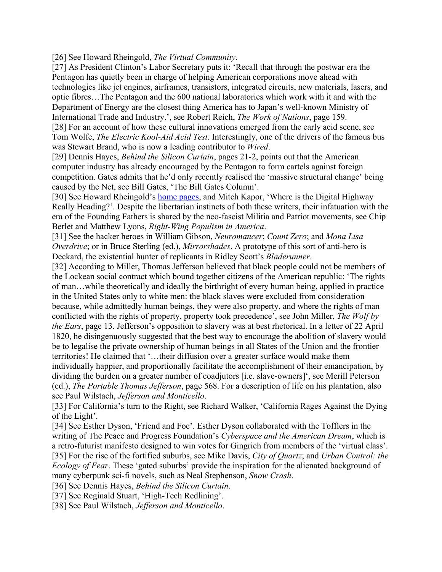[26] See Howard Rheingold, *The Virtual Community*.

[27] As President Clinton's Labor Secretary puts it: 'Recall that through the postwar era the Pentagon has quietly been in charge of helping American corporations move ahead with technologies like jet engines, airframes, transistors, integrated circuits, new materials, lasers, and optic fibres…The Pentagon and the 600 national laboratories which work with it and with the Department of Energy are the closest thing America has to Japan's well-known Ministry of International Trade and Industry.', see Robert Reich, *The Work of Nations*, page 159.

[28] For an account of how these cultural innovations emerged from the early acid scene, see Tom Wolfe, *The Electric Kool-Aid Acid Test*. Interestingly, one of the drivers of the famous bus was Stewart Brand, who is now a leading contributor to *Wired*.

[29] Dennis Hayes, *Behind the Silicon Curtain*, pages 21-2, points out that the American computer industry has already encouraged by the Pentagon to form cartels against foreign competition. Gates admits that he'd only recently realised the 'massive structural change' being caused by the Net, see Bill Gates, 'The Bill Gates Column'.

[30] See Howard Rheingold's [home pages,](http://www.rheingold.com/) and Mitch Kapor, 'Where is the Digital Highway Really Heading?'. Despite the libertarian instincts of both these writers, their infatuation with the era of the Founding Fathers is shared by the neo-fascist Militia and Patriot movements, see Chip Berlet and Matthew Lyons, *Right-Wing Populism in America*.

[31] See the hacker heroes in William Gibson, *Neuromancer*; *Count Zero*; and *Mona Lisa Overdrive*; or in Bruce Sterling (ed.), *Mirrorshades*. A prototype of this sort of anti-hero is Deckard, the existential hunter of replicants in Ridley Scott's *Bladerunner*.

[32] According to Miller, Thomas Jefferson believed that black people could not be members of the Lockean social contract which bound together citizens of the American republic: 'The rights of man…while theoretically and ideally the birthright of every human being, applied in practice in the United States only to white men: the black slaves were excluded from consideration because, while admittedly human beings, they were also property, and where the rights of man conflicted with the rights of property, property took precedence', see John Miller, *The Wolf by the Ears*, page 13. Jefferson's opposition to slavery was at best rhetorical. In a letter of 22 April 1820, he disingenuously suggested that the best way to encourage the abolition of slavery would be to legalise the private ownership of human beings in all States of the Union and the frontier territories! He claimed that '…their diffusion over a greater surface would make them individually happier, and proportionally facilitate the accomplishment of their emancipation, by dividing the burden on a greater number of coadjutors [i.e. slave-owners]', see Merill Peterson (ed.), *The Portable Thomas Jefferson*, page 568. For a description of life on his plantation, also see Paul Wilstach, *Jefferson and Monticello*.

[33] For California's turn to the Right, see Richard Walker, 'California Rages Against the Dying of the Light'.

[34] See Esther Dyson, 'Friend and Foe'. Esther Dyson collaborated with the Tofflers in the writing of The Peace and Progress Foundation's *Cyberspace and the American Dream*, which is a retro-futurist manifesto designed to win votes for Gingrich from members of the 'virtual class'. [35] For the rise of the fortified suburbs, see Mike Davis, *City of Quartz*; and *Urban Control: the Ecology of Fear*. These 'gated suburbs' provide the inspiration for the alienated background of many cyberpunk sci-fi novels, such as Neal Stephenson, *Snow Crash*.

[36] See Dennis Hayes, *Behind the Silicon Curtain*.

[37] See Reginald Stuart, 'High-Tech Redlining'.

[38] See Paul Wilstach, *Jefferson and Monticello*.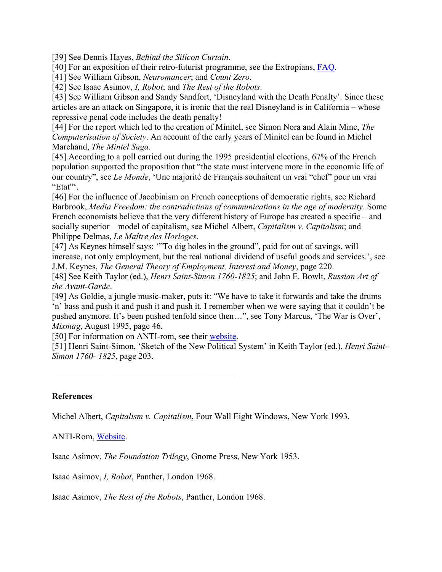[39] See Dennis Hayes, *Behind the Silicon Curtain*.

[40] For an exposition of their retro-futurist programme, see the Extropians, [FAQ.](http://www.extropy.org/faq.htm)

[41] See William Gibson, *Neuromancer*; and *Count Zero*.

[42] See Isaac Asimov, *I, Robot*; and *The Rest of the Robots*.

[43] See William Gibson and Sandy Sandfort, 'Disneyland with the Death Penalty'. Since these articles are an attack on Singapore, it is ironic that the real Disneyland is in California – whose repressive penal code includes the death penalty!

[44] For the report which led to the creation of Minitel, see Simon Nora and Alain Minc, *The Computerisation of Society*. An account of the early years of Minitel can be found in Michel Marchand, *The Mintel Saga*.

[45] According to a poll carried out during the 1995 presidential elections, 67% of the French population supported the proposition that "the state must intervene more in the economic life of our country", see *Le Monde*, 'Une majorité de Français souhaitent un vrai "chef" pour un vrai "Etat"'.

[46] For the influence of Jacobinism on French conceptions of democratic rights, see Richard Barbrook, *Media Freedom: the contradictions of communications in the age of modernity*. Some French economists believe that the very different history of Europe has created a specific – and socially superior – model of capitalism, see Michel Albert, *Capitalism v. Capitalism*; and Philippe Delmas, *Le Maître des Horloges*.

[47] As Keynes himself says: "To dig holes in the ground", paid for out of savings, will increase, not only employment, but the real national dividend of useful goods and services.', see J.M. Keynes, *The General Theory of Employment, Interest and Money*, page 220.

[48] See Keith Taylor (ed.), *Henri Saint-Simon 1760-1825*; and John E. Bowlt, *Russian Art of the Avant-Garde*.

[49] As Goldie, a jungle music-maker, puts it: "We have to take it forwards and take the drums 'n' bass and push it and push it and push it. I remember when we were saying that it couldn't be pushed anymore. It's been pushed tenfold since then…", see Tony Marcus, 'The War is Over', *Mixmag*, August 1995, page 46.

[50] For information on ANTI-rom, see their [website.](http://www.antirom.com/)

 $\frac{1}{\sqrt{2}}$  , and the contract of the contract of the contract of the contract of the contract of the contract of the contract of the contract of the contract of the contract of the contract of the contract of the contra

[51] Henri Saint-Simon, 'Sketch of the New Political System' in Keith Taylor (ed.), *Henri Saint-Simon 1760- 1825*, page 203.

## **References**

Michel Albert, *Capitalism v. Capitalism*, Four Wall Eight Windows, New York 1993.

ANTI-Rom, [Website.](http://www.antirom.com/)

Isaac Asimov, *The Foundation Trilogy*, Gnome Press, New York 1953.

Isaac Asimov, *I, Robot*, Panther, London 1968.

Isaac Asimov, *The Rest of the Robots*, Panther, London 1968.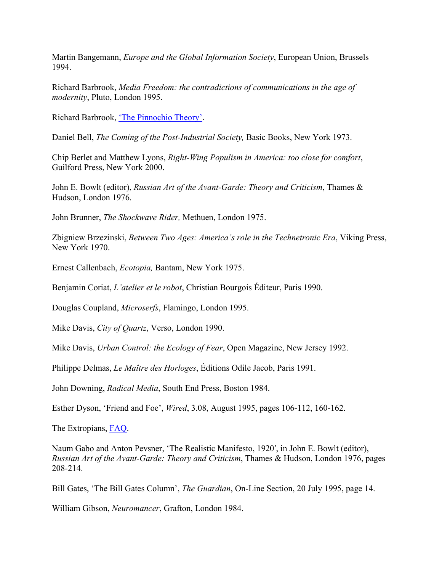Martin Bangemann, *Europe and the Global Information Society*, European Union, Brussels 1994.

Richard Barbrook, *Media Freedom: the contradictions of communications in the age of modernity*, Pluto, London 1995.

Richard Barbrook, ['The Pinnochio Theory'.](http://www.imaginaryfutures.net/2007/04/08/pinnochio-theory-by-richard-barbrook/)

Daniel Bell, *The Coming of the Post-Industrial Society,* Basic Books, New York 1973.

Chip Berlet and Matthew Lyons, *Right-Wing Populism in America: too close for comfort*, Guilford Press, New York 2000.

John E. Bowlt (editor), *Russian Art of the Avant-Garde: Theory and Criticism*, Thames & Hudson, London 1976.

John Brunner, *The Shockwave Rider,* Methuen, London 1975.

Zbigniew Brzezinski, *Between Two Ages: America's role in the Technetronic Era*, Viking Press, New York 1970.

Ernest Callenbach, *Ecotopia,* Bantam, New York 1975.

Benjamin Coriat, *L'atelier et le robot*, Christian Bourgois Éditeur, Paris 1990.

Douglas Coupland, *Microserfs*, Flamingo, London 1995.

Mike Davis, *City of Quartz*, Verso, London 1990.

Mike Davis, *Urban Control: the Ecology of Fear*, Open Magazine, New Jersey 1992.

Philippe Delmas, *Le Maître des Horloges*, Éditions Odile Jacob, Paris 1991.

John Downing, *Radical Media*, South End Press, Boston 1984.

Esther Dyson, 'Friend and Foe', *Wired*, 3.08, August 1995, pages 106-112, 160-162.

The Extropians, [FAQ.](http://www.extropy.org/faq.htm)

Naum Gabo and Anton Pevsner, 'The Realistic Manifesto, 1920′, in John E. Bowlt (editor), *Russian Art of the Avant-Garde: Theory and Criticism*, Thames & Hudson, London 1976, pages 208-214.

Bill Gates, 'The Bill Gates Column', *The Guardian*, On-Line Section, 20 July 1995, page 14.

William Gibson, *Neuromancer*, Grafton, London 1984.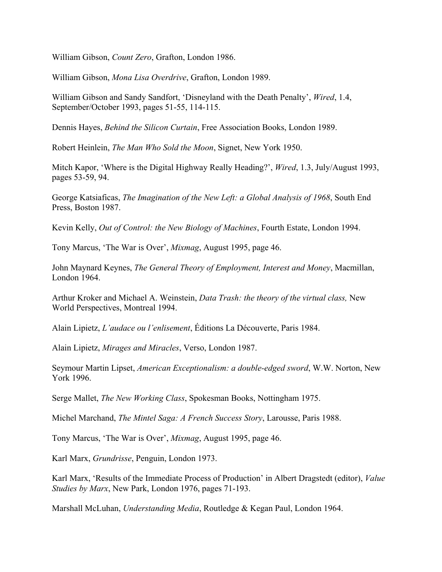William Gibson, *Count Zero*, Grafton, London 1986.

William Gibson, *Mona Lisa Overdrive*, Grafton, London 1989.

William Gibson and Sandy Sandfort, 'Disneyland with the Death Penalty', *Wired*, 1.4, September/October 1993, pages 51-55, 114-115.

Dennis Hayes, *Behind the Silicon Curtain*, Free Association Books, London 1989.

Robert Heinlein, *The Man Who Sold the Moon*, Signet, New York 1950.

Mitch Kapor, 'Where is the Digital Highway Really Heading?', *Wired*, 1.3, July/August 1993, pages 53-59, 94.

George Katsiaficas, *The Imagination of the New Left: a Global Analysis of 1968*, South End Press, Boston 1987.

Kevin Kelly, *Out of Control: the New Biology of Machines*, Fourth Estate, London 1994.

Tony Marcus, 'The War is Over', *Mixmag*, August 1995, page 46.

John Maynard Keynes, *The General Theory of Employment, Interest and Money*, Macmillan, London 1964.

Arthur Kroker and Michael A. Weinstein, *Data Trash: the theory of the virtual class,* New World Perspectives, Montreal 1994.

Alain Lipietz, *L'audace ou l'enlisement*, Éditions La Découverte, Paris 1984.

Alain Lipietz, *Mirages and Miracles*, Verso, London 1987.

Seymour Martin Lipset, *American Exceptionalism: a double-edged sword*, W.W. Norton, New York 1996.

Serge Mallet, *The New Working Class*, Spokesman Books, Nottingham 1975.

Michel Marchand, *The Mintel Saga: A French Success Story*, Larousse, Paris 1988.

Tony Marcus, 'The War is Over', *Mixmag*, August 1995, page 46.

Karl Marx, *Grundrisse*, Penguin, London 1973.

Karl Marx, 'Results of the Immediate Process of Production' in Albert Dragstedt (editor), *Value Studies by Marx*, New Park, London 1976, pages 71-193.

Marshall McLuhan, *Understanding Media*, Routledge & Kegan Paul, London 1964.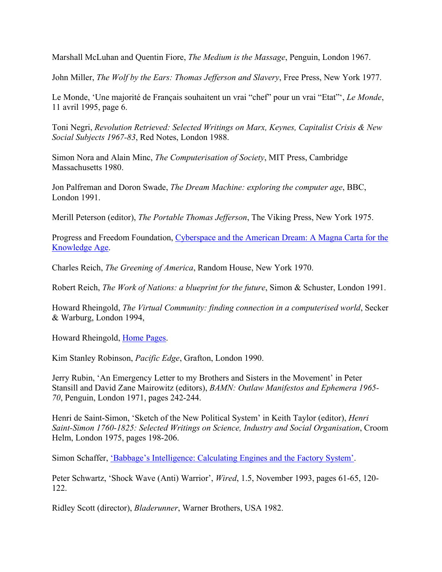Marshall McLuhan and Quentin Fiore, *The Medium is the Massage*, Penguin, London 1967.

John Miller, *The Wolf by the Ears: Thomas Jefferson and Slavery*, Free Press, New York 1977.

Le Monde, 'Une majorité de Français souhaitent un vrai "chef" pour un vrai "Etat"', *Le Monde*, 11 avril 1995, page 6.

Toni Negri, *Revolution Retrieved: Selected Writings on Marx, Keynes, Capitalist Crisis & New Social Subjects 1967-83*, Red Notes, London 1988.

Simon Nora and Alain Minc, *The Computerisation of Society*, MIT Press, Cambridge Massachusetts 1980.

Jon Palfreman and Doron Swade, *The Dream Machine: exploring the computer age*, BBC, London 1991.

Merill Peterson (editor), *The Portable Thomas Jefferson*, The Viking Press, New York 1975.

Progress and Freedom Foundation, [Cyberspace and the American Dream: A Magna Carta for the](http://www.pff.org/issues-pubs/futureinsights/fi1.2magnacarta.html)  [Knowledge Age.](http://www.pff.org/issues-pubs/futureinsights/fi1.2magnacarta.html)

Charles Reich, *The Greening of America*, Random House, New York 1970.

Robert Reich, *The Work of Nations: a blueprint for the future*, Simon & Schuster, London 1991.

Howard Rheingold, *The Virtual Community: finding connection in a computerised world*, Secker & Warburg, London 1994,

Howard Rheingold, [Home Pages.](http://www.rheingold.com/)

Kim Stanley Robinson, *Pacific Edge*, Grafton, London 1990.

Jerry Rubin, 'An Emergency Letter to my Brothers and Sisters in the Movement' in Peter Stansill and David Zane Mairowitz (editors), *BAMN: Outlaw Manifestos and Ephemera 1965- 70*, Penguin, London 1971, pages 242-244.

Henri de Saint-Simon, 'Sketch of the New Political System' in Keith Taylor (editor), *Henri Saint-Simon 1760-1825: Selected Writings on Science, Industry and Social Organisation*, Croom Helm, London 1975, pages 198-206.

Simon Schaffer, ['Babbage's Intelligence: Calculating Engines and the Factory System'.](http://www.imaginaryfutures.net/2007/04/16/babbages-intelligence-by-simon-schaffer/)

Peter Schwartz, 'Shock Wave (Anti) Warrior', *Wired*, 1.5, November 1993, pages 61-65, 120- 122.

Ridley Scott (director), *Bladerunner*, Warner Brothers, USA 1982.